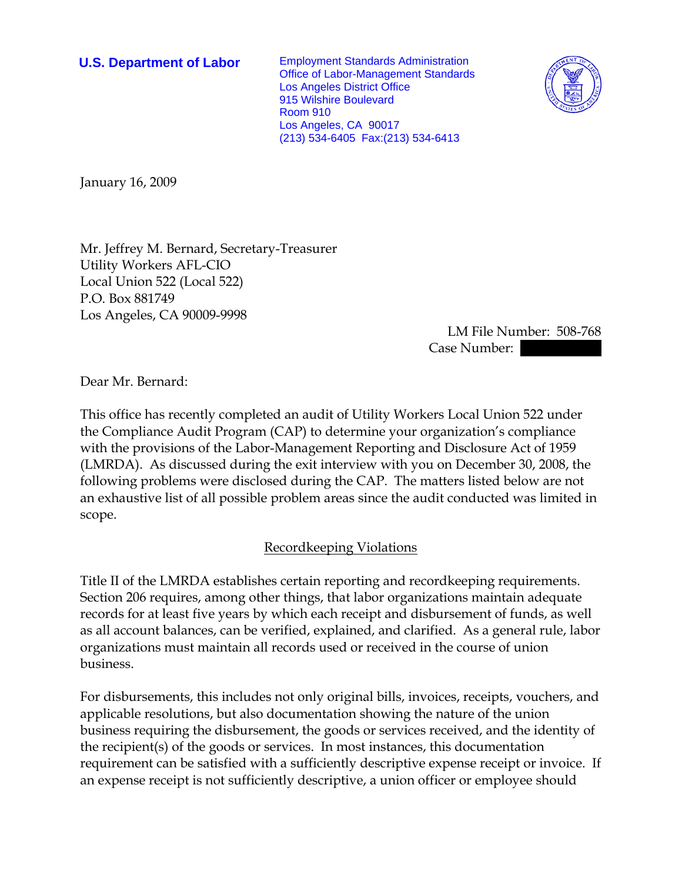**U.S. Department of Labor** Employment Standards Administration Office of Labor-Management Standards Los Angeles District Office 915 Wilshire Boulevard Room 910 Los Angeles, CA 90017 (213) 534-6405 Fax:(213) 534-6413



January 16, 2009

Mr. Jeffrey M. Bernard, Secretary-Treasurer Utility Workers AFL-CIO Local Union 522 (Local 522) P.O. Box 881749 Los Angeles, CA 90009-9998

> LM File Number: 508-768 Case Number:

Dear Mr. Bernard:

This office has recently completed an audit of Utility Workers Local Union 522 under the Compliance Audit Program (CAP) to determine your organization's compliance with the provisions of the Labor-Management Reporting and Disclosure Act of 1959 (LMRDA). As discussed during the exit interview with you on December 30, 2008, the following problems were disclosed during the CAP. The matters listed below are not an exhaustive list of all possible problem areas since the audit conducted was limited in scope.

# Recordkeeping Violations

Title II of the LMRDA establishes certain reporting and recordkeeping requirements. Section 206 requires, among other things, that labor organizations maintain adequate records for at least five years by which each receipt and disbursement of funds, as well as all account balances, can be verified, explained, and clarified. As a general rule, labor organizations must maintain all records used or received in the course of union business.

For disbursements, this includes not only original bills, invoices, receipts, vouchers, and applicable resolutions, but also documentation showing the nature of the union business requiring the disbursement, the goods or services received, and the identity of the recipient(s) of the goods or services. In most instances, this documentation requirement can be satisfied with a sufficiently descriptive expense receipt or invoice. If an expense receipt is not sufficiently descriptive, a union officer or employee should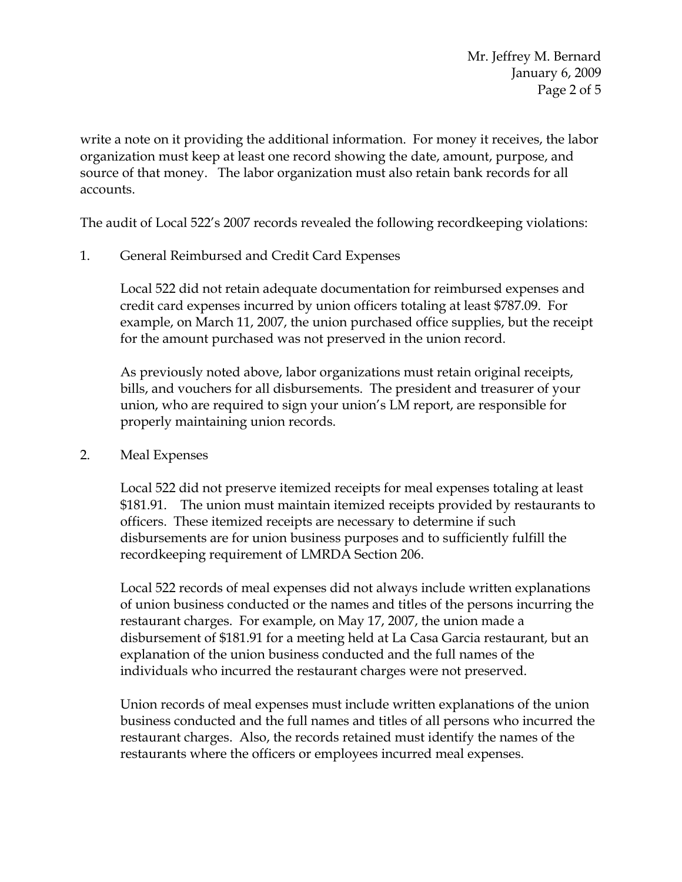write a note on it providing the additional information. For money it receives, the labor organization must keep at least one record showing the date, amount, purpose, and source of that money. The labor organization must also retain bank records for all accounts.

The audit of Local 522's 2007 records revealed the following recordkeeping violations:

1. General Reimbursed and Credit Card Expenses

Local 522 did not retain adequate documentation for reimbursed expenses and credit card expenses incurred by union officers totaling at least \$787.09. For example, on March 11, 2007, the union purchased office supplies, but the receipt for the amount purchased was not preserved in the union record.

As previously noted above, labor organizations must retain original receipts, bills, and vouchers for all disbursements. The president and treasurer of your union, who are required to sign your union's LM report, are responsible for properly maintaining union records.

2. Meal Expenses

Local 522 did not preserve itemized receipts for meal expenses totaling at least \$181.91. The union must maintain itemized receipts provided by restaurants to officers. These itemized receipts are necessary to determine if such disbursements are for union business purposes and to sufficiently fulfill the recordkeeping requirement of LMRDA Section 206.

Local 522 records of meal expenses did not always include written explanations of union business conducted or the names and titles of the persons incurring the restaurant charges. For example, on May 17, 2007, the union made a disbursement of \$181.91 for a meeting held at La Casa Garcia restaurant, but an explanation of the union business conducted and the full names of the individuals who incurred the restaurant charges were not preserved.

Union records of meal expenses must include written explanations of the union business conducted and the full names and titles of all persons who incurred the restaurant charges. Also, the records retained must identify the names of the restaurants where the officers or employees incurred meal expenses.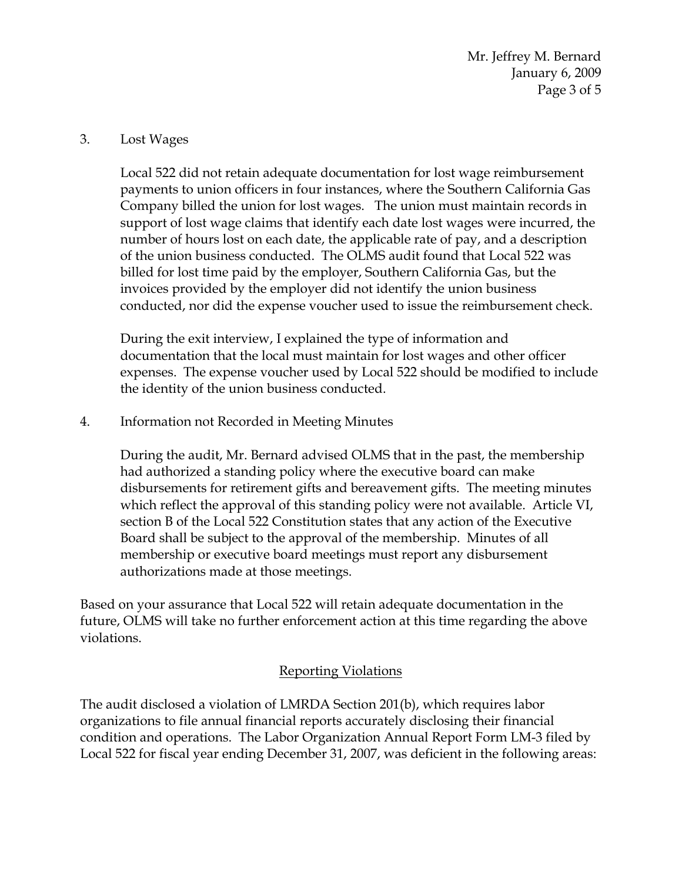Mr. Jeffrey M. Bernard January 6, 2009 Page 3 of 5

# 3. Lost Wages

Local 522 did not retain adequate documentation for lost wage reimbursement payments to union officers in four instances, where the Southern California Gas Company billed the union for lost wages. The union must maintain records in support of lost wage claims that identify each date lost wages were incurred, the number of hours lost on each date, the applicable rate of pay, and a description of the union business conducted. The OLMS audit found that Local 522 was billed for lost time paid by the employer, Southern California Gas, but the invoices provided by the employer did not identify the union business conducted, nor did the expense voucher used to issue the reimbursement check.

During the exit interview, I explained the type of information and documentation that the local must maintain for lost wages and other officer expenses. The expense voucher used by Local 522 should be modified to include the identity of the union business conducted.

4. Information not Recorded in Meeting Minutes

During the audit, Mr. Bernard advised OLMS that in the past, the membership had authorized a standing policy where the executive board can make disbursements for retirement gifts and bereavement gifts. The meeting minutes which reflect the approval of this standing policy were not available. Article VI, section B of the Local 522 Constitution states that any action of the Executive Board shall be subject to the approval of the membership. Minutes of all membership or executive board meetings must report any disbursement authorizations made at those meetings.

Based on your assurance that Local 522 will retain adequate documentation in the future, OLMS will take no further enforcement action at this time regarding the above violations.

# Reporting Violations

The audit disclosed a violation of LMRDA Section 201(b), which requires labor organizations to file annual financial reports accurately disclosing their financial condition and operations. The Labor Organization Annual Report Form LM-3 filed by Local 522 for fiscal year ending December 31, 2007, was deficient in the following areas: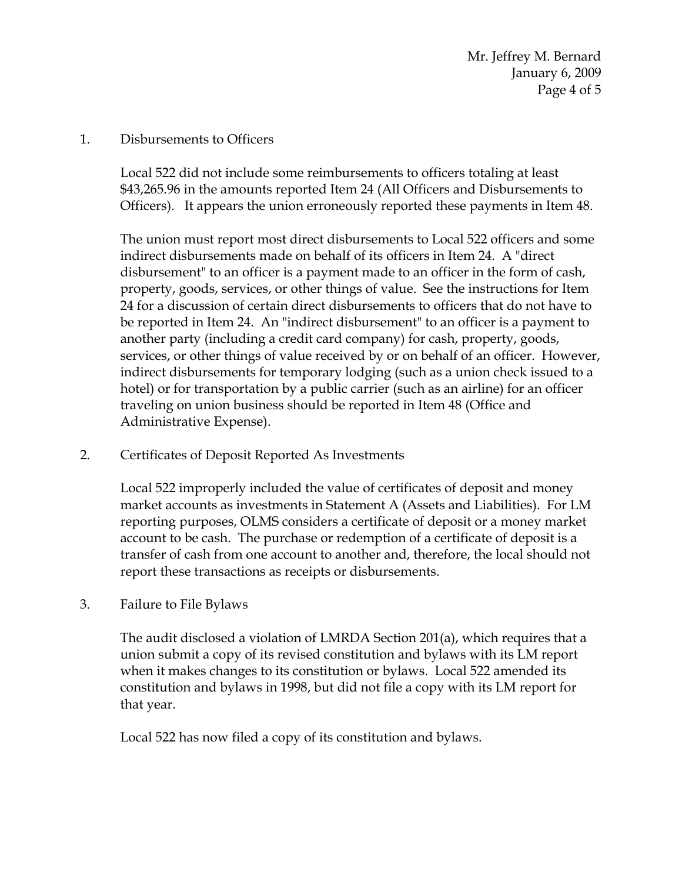### 1. Disbursements to Officers

Local 522 did not include some reimbursements to officers totaling at least \$43,265.96 in the amounts reported Item 24 (All Officers and Disbursements to Officers). It appears the union erroneously reported these payments in Item 48.

The union must report most direct disbursements to Local 522 officers and some indirect disbursements made on behalf of its officers in Item 24. A "direct disbursement" to an officer is a payment made to an officer in the form of cash, property, goods, services, or other things of value. See the instructions for Item 24 for a discussion of certain direct disbursements to officers that do not have to be reported in Item 24. An "indirect disbursement" to an officer is a payment to another party (including a credit card company) for cash, property, goods, services, or other things of value received by or on behalf of an officer. However, indirect disbursements for temporary lodging (such as a union check issued to a hotel) or for transportation by a public carrier (such as an airline) for an officer traveling on union business should be reported in Item 48 (Office and Administrative Expense).

2. Certificates of Deposit Reported As Investments

Local 522 improperly included the value of certificates of deposit and money market accounts as investments in Statement A (Assets and Liabilities). For LM reporting purposes, OLMS considers a certificate of deposit or a money market account to be cash. The purchase or redemption of a certificate of deposit is a transfer of cash from one account to another and, therefore, the local should not report these transactions as receipts or disbursements.

3. Failure to File Bylaws

The audit disclosed a violation of LMRDA Section 201(a), which requires that a union submit a copy of its revised constitution and bylaws with its LM report when it makes changes to its constitution or bylaws. Local 522 amended its constitution and bylaws in 1998, but did not file a copy with its LM report for that year.

Local 522 has now filed a copy of its constitution and bylaws.